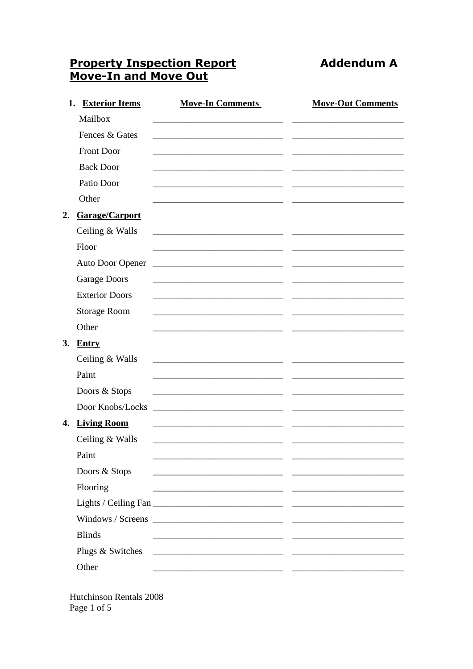## **Property Inspection Report<br>Move-In and Move Out**

**Addendum A** 

| 1. | <b>Exterior Items</b> | <b>Move-In Comments</b>                                                                                               | <b>Move-Out Comments</b> |
|----|-----------------------|-----------------------------------------------------------------------------------------------------------------------|--------------------------|
|    | Mailbox               |                                                                                                                       |                          |
|    | Fences & Gates        |                                                                                                                       |                          |
|    | <b>Front Door</b>     |                                                                                                                       |                          |
|    | <b>Back Door</b>      |                                                                                                                       |                          |
|    | Patio Door            |                                                                                                                       |                          |
|    | Other                 |                                                                                                                       |                          |
|    | 2. Garage/Carport     |                                                                                                                       |                          |
|    | Ceiling & Walls       | <u> 1989 - Johann John Stone, markin film yn y breninn y breninn y breninn y breninn y breninn y breninn y brenin</u> |                          |
|    | Floor                 |                                                                                                                       |                          |
|    | Auto Door Opener      | <u> 1989 - Johann John Stone, mars eta biztanleria (</u>                                                              |                          |
|    | <b>Garage Doors</b>   |                                                                                                                       |                          |
|    | <b>Exterior Doors</b> |                                                                                                                       |                          |
|    | <b>Storage Room</b>   |                                                                                                                       |                          |
|    | Other                 |                                                                                                                       |                          |
|    | 3. Entry              |                                                                                                                       |                          |
|    | Ceiling & Walls       |                                                                                                                       |                          |
|    | Paint                 |                                                                                                                       |                          |
|    | Doors & Stops         |                                                                                                                       |                          |
|    | Door Knobs/Locks      |                                                                                                                       |                          |
| 4. | <b>Living Room</b>    |                                                                                                                       |                          |
|    | Ceiling & Walls       |                                                                                                                       |                          |
|    | Paint                 |                                                                                                                       |                          |
|    | Doors & Stops         |                                                                                                                       |                          |
|    | Flooring              |                                                                                                                       |                          |
|    |                       |                                                                                                                       |                          |
|    | Windows / Screens     | <u> 2000 - 2000 - 2000 - 2000 - 2000 - 2000 - 2000 - 2000 - 2000 - 2000 - 2000 - 2000 - 2000 - 2000 - 2000 - 200</u>  |                          |
|    | <b>Blinds</b>         |                                                                                                                       |                          |
|    | Plugs & Switches      | <u> 1989 - Johann Barbara, martxa alemaniar populari (</u>                                                            |                          |
|    | Other                 |                                                                                                                       |                          |

Hutchinson Rentals 2008 Page 1 of 5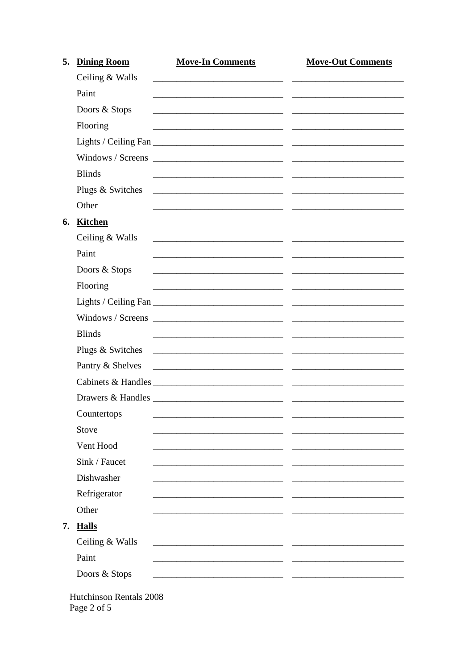|    | <b>Dining Room</b> | <b>Move-In Comments</b>                                                                                                | <b>Move-Out Comments</b> |
|----|--------------------|------------------------------------------------------------------------------------------------------------------------|--------------------------|
|    | Ceiling & Walls    |                                                                                                                        |                          |
|    | Paint              |                                                                                                                        |                          |
|    | Doors & Stops      |                                                                                                                        |                          |
|    | Flooring           |                                                                                                                        |                          |
|    |                    |                                                                                                                        |                          |
|    |                    |                                                                                                                        |                          |
|    | <b>Blinds</b>      |                                                                                                                        |                          |
|    | Plugs & Switches   | <u> 2000 - Jan James James Barnett, amerikan bahasa perangan perangan perangan perangan perangan perangan perangan</u> |                          |
|    | Other              |                                                                                                                        |                          |
| 6. | Kitchen            |                                                                                                                        |                          |
|    | Ceiling & Walls    |                                                                                                                        |                          |
|    | Paint              |                                                                                                                        |                          |
|    | Doors & Stops      |                                                                                                                        |                          |
|    | Flooring           |                                                                                                                        |                          |
|    |                    |                                                                                                                        |                          |
|    |                    |                                                                                                                        |                          |
|    | <b>Blinds</b>      |                                                                                                                        |                          |
|    | Plugs & Switches   |                                                                                                                        |                          |
|    | Pantry & Shelves   |                                                                                                                        |                          |
|    |                    |                                                                                                                        |                          |
|    |                    |                                                                                                                        |                          |
|    | Countertops        |                                                                                                                        |                          |
|    | Stove              |                                                                                                                        |                          |
|    | Vent Hood          |                                                                                                                        |                          |
|    | Sink / Faucet      |                                                                                                                        |                          |
|    | Dishwasher         |                                                                                                                        |                          |
|    | Refrigerator       |                                                                                                                        |                          |
|    | Other              |                                                                                                                        |                          |
| 7. | <b>Halls</b>       |                                                                                                                        |                          |
|    | Ceiling & Walls    |                                                                                                                        |                          |
|    | Paint              |                                                                                                                        |                          |
|    | Doors & Stops      |                                                                                                                        |                          |

Page 2 of 5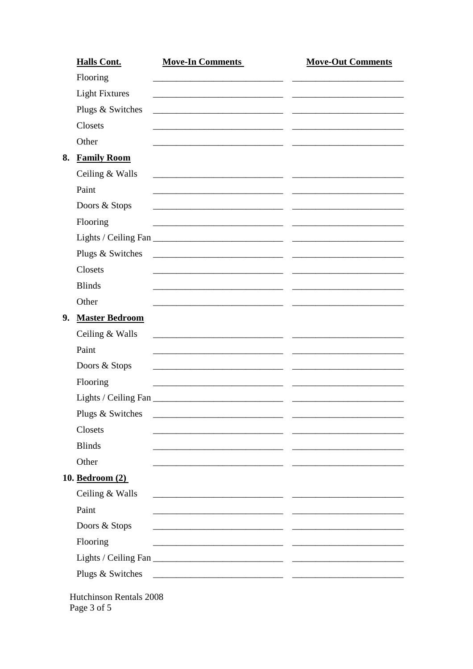| <b>Halls Cont.</b>       | <b>Move-In Comments</b>                                                                                               | <b>Move-Out Comments</b> |
|--------------------------|-----------------------------------------------------------------------------------------------------------------------|--------------------------|
| Flooring                 |                                                                                                                       |                          |
| <b>Light Fixtures</b>    |                                                                                                                       |                          |
| Plugs & Switches         |                                                                                                                       |                          |
| Closets                  |                                                                                                                       |                          |
| Other                    |                                                                                                                       |                          |
| <b>Family Room</b><br>8. |                                                                                                                       |                          |
| Ceiling & Walls          | <u> 1989 - Johann John Harry Harry Harry Harry Harry Harry Harry Harry Harry Harry Harry Harry Harry Harry Harry</u>  |                          |
| Paint                    |                                                                                                                       |                          |
| Doors & Stops            |                                                                                                                       |                          |
| Flooring                 | <u> 1989 - Johann John Stone, markin fizikar (</u>                                                                    |                          |
|                          |                                                                                                                       |                          |
| Plugs & Switches         | <u> 1980 - Jan Stein Berlin, amerikansk politiker (</u>                                                               |                          |
| Closets                  |                                                                                                                       |                          |
| <b>Blinds</b>            |                                                                                                                       |                          |
| Other                    |                                                                                                                       |                          |
| 9. Master Bedroom        |                                                                                                                       |                          |
| Ceiling & Walls          |                                                                                                                       |                          |
| Paint                    |                                                                                                                       |                          |
| Doors & Stops            |                                                                                                                       |                          |
| Flooring                 | <u> 1980 - John Stein, Amerikaansk politiker (* 1900)</u>                                                             |                          |
| Lights / Ceiling Fan     |                                                                                                                       |                          |
| Plugs & Switches         |                                                                                                                       |                          |
| Closets                  |                                                                                                                       |                          |
| <b>Blinds</b>            |                                                                                                                       |                          |
| Other                    |                                                                                                                       |                          |
| 10. Bedroom (2)          |                                                                                                                       |                          |
| Ceiling & Walls          | <u> 1989 - Johann John Stone, meil in der Stone aus der Stone aus der Stone aus der Stone aus der Stone anderen S</u> |                          |
| Paint                    | <u> 1980 - Jan Barbara Barbara, manazarta </u>                                                                        |                          |
| Doors & Stops            |                                                                                                                       |                          |
| Flooring                 | <u> 1989 - Johann Harry Harry Harry Harry Harry Harry Harry Harry Harry Harry Harry Harry Harry Harry Harry Harry</u> |                          |
|                          |                                                                                                                       |                          |
| Plugs & Switches         |                                                                                                                       |                          |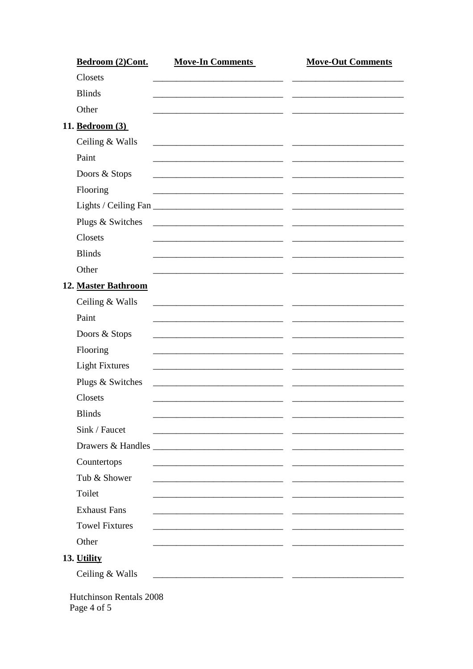| Bedroom (2)Cont.                              | <b>Move-In Comments</b>                                                                                               | <b>Move-Out Comments</b> |
|-----------------------------------------------|-----------------------------------------------------------------------------------------------------------------------|--------------------------|
| Closets                                       |                                                                                                                       |                          |
| <b>Blinds</b>                                 |                                                                                                                       |                          |
| Other                                         |                                                                                                                       |                          |
| 11. Bedroom (3)                               |                                                                                                                       |                          |
| Ceiling & Walls                               |                                                                                                                       |                          |
| Paint                                         |                                                                                                                       |                          |
| Doors & Stops                                 |                                                                                                                       |                          |
| Flooring                                      |                                                                                                                       |                          |
|                                               |                                                                                                                       |                          |
| Plugs & Switches                              |                                                                                                                       |                          |
| Closets                                       |                                                                                                                       |                          |
| <b>Blinds</b>                                 |                                                                                                                       |                          |
| Other                                         |                                                                                                                       |                          |
| 12. Master Bathroom                           |                                                                                                                       |                          |
| Ceiling & Walls                               | <u> 1989 - Johann Stein, mars and de Brandenburg and de Brandenburg and de Brandenburg and de Brandenburg and de</u>  |                          |
| Paint                                         |                                                                                                                       |                          |
| Doors & Stops                                 |                                                                                                                       |                          |
| Flooring                                      |                                                                                                                       |                          |
| <b>Light Fixtures</b>                         |                                                                                                                       |                          |
| Plugs & Switches                              |                                                                                                                       |                          |
| Closets                                       |                                                                                                                       |                          |
| <b>Blinds</b>                                 | <u> 1989 - Johann John Stone, mars and de Brandenburg (b. 1989)</u>                                                   |                          |
| Sink / Faucet                                 |                                                                                                                       |                          |
|                                               |                                                                                                                       |                          |
| Countertops                                   |                                                                                                                       |                          |
| Tub & Shower                                  | <u> 2000 - Jan James James Barnett (h. 1982).</u>                                                                     |                          |
| Toilet                                        | <u> 1989 - Johann Harry Harry Harry Harry Harry Harry Harry Harry Harry Harry Harry Harry Harry Harry Harry Harry</u> |                          |
| <b>Exhaust Fans</b>                           | <u> 1989 - Johann Stein, mars et al. (</u>                                                                            |                          |
| <b>Towel Fixtures</b>                         |                                                                                                                       |                          |
|                                               |                                                                                                                       |                          |
| Other                                         |                                                                                                                       |                          |
| 13. Utility                                   |                                                                                                                       |                          |
| Ceiling & Walls                               | <u> 1989 - Johann John Stone, markin fizikar (</u>                                                                    |                          |
| <b>Hutchinson Rentals 2008</b><br>Page 4 of 5 |                                                                                                                       |                          |